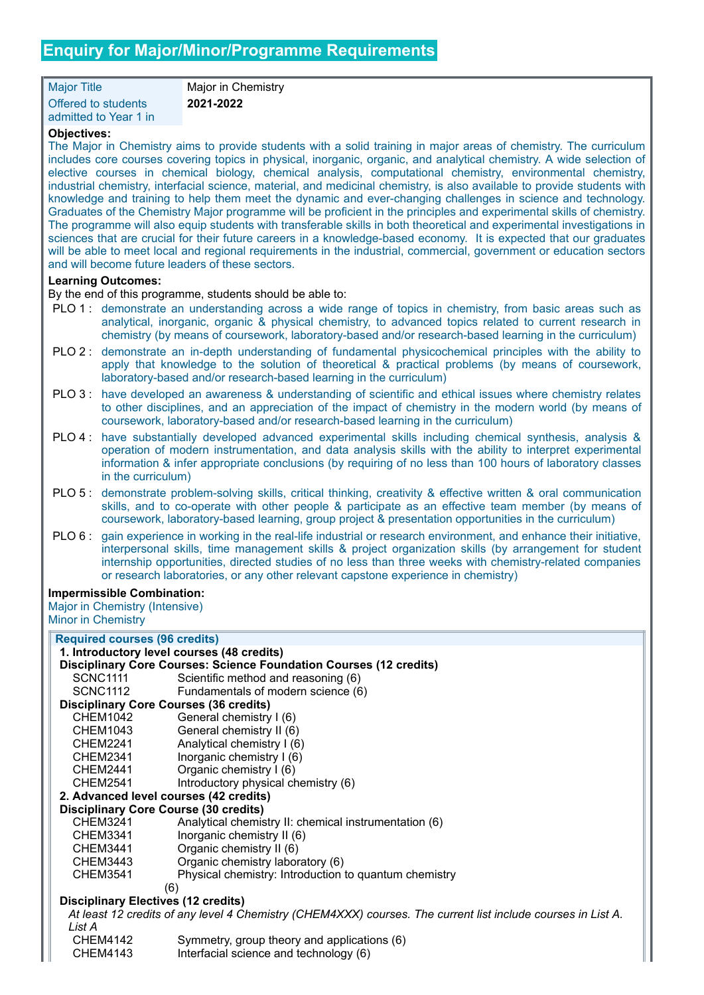Major Title Major in Chemistry Offered to students admitted to Year 1 in

**2021-2022**

## **Objectives:**

The Major in Chemistry aims to provide students with a solid training in major areas of chemistry. The curriculum includes core courses covering topics in physical, inorganic, organic, and analytical chemistry. A wide selection of elective courses in chemical biology, chemical analysis, computational chemistry, environmental chemistry, industrial chemistry, interfacial science, material, and medicinal chemistry, is also available to provide students with knowledge and training to help them meet the dynamic and ever-changing challenges in science and technology. Graduates of the Chemistry Major programme will be proficient in the principles and experimental skills of chemistry. The programme will also equip students with transferable skills in both theoretical and experimental investigations in sciences that are crucial for their future careers in a knowledge-based economy. It is expected that our graduates will be able to meet local and regional requirements in the industrial, commercial, government or education sectors and will become future leaders of these sectors.

## **Learning Outcomes:**

By the end of this programme, students should be able to:

- PLO 1 : demonstrate an understanding across a wide range of topics in chemistry, from basic areas such as analytical, inorganic, organic & physical chemistry, to advanced topics related to current research in chemistry (by means of coursework, laboratory-based and/or research-based learning in the curriculum)
- PLO 2 : demonstrate an in-depth understanding of fundamental physicochemical principles with the ability to apply that knowledge to the solution of theoretical & practical problems (by means of coursework, laboratory-based and/or research-based learning in the curriculum)
- PLO 3 : have developed an awareness & understanding of scientific and ethical issues where chemistry relates to other disciplines, and an appreciation of the impact of chemistry in the modern world (by means of coursework, laboratory-based and/or research-based learning in the curriculum)
- PLO 4 : have substantially developed advanced experimental skills including chemical synthesis, analysis & operation of modern instrumentation, and data analysis skills with the ability to interpret experimental information & infer appropriate conclusions (by requiring of no less than 100 hours of laboratory classes in the curriculum)
- PLO 5 : demonstrate problem-solving skills, critical thinking, creativity & effective written & oral communication skills, and to co-operate with other people & participate as an effective team member (by means of coursework, laboratory-based learning, group project & presentation opportunities in the curriculum)
- PLO 6 : gain experience in working in the real-life industrial or research environment, and enhance their initiative, interpersonal skills, time management skills & project organization skills (by arrangement for student internship opportunities, directed studies of no less than three weeks with chemistry-related companies or research laboratories, or any other relevant capstone experience in chemistry)

## **Impermissible Combination:**

Major in Chemistry (Intensive) Minor in Chemistry

| <b>Required courses (96 credits)</b>                                                                         |                                                       |  |
|--------------------------------------------------------------------------------------------------------------|-------------------------------------------------------|--|
| 1. Introductory level courses (48 credits)                                                                   |                                                       |  |
| Disciplinary Core Courses: Science Foundation Courses (12 credits)                                           |                                                       |  |
| SCNC1111                                                                                                     | Scientific method and reasoning (6)                   |  |
| SCNC1112                                                                                                     | Fundamentals of modern science (6)                    |  |
| <b>Disciplinary Core Courses (36 credits)</b>                                                                |                                                       |  |
| CHEM1042                                                                                                     | General chemistry I (6)                               |  |
| CHEM1043                                                                                                     | General chemistry II (6)                              |  |
| CHEM2241                                                                                                     | Analytical chemistry I (6)                            |  |
| CHEM2341                                                                                                     | Inorganic chemistry I (6)                             |  |
| CHEM2441                                                                                                     | Organic chemistry I (6)                               |  |
| CHEM2541                                                                                                     | Introductory physical chemistry (6)                   |  |
| 2. Advanced level courses (42 credits)                                                                       |                                                       |  |
| <b>Disciplinary Core Course (30 credits)</b>                                                                 |                                                       |  |
| <b>CHEM3241</b>                                                                                              | Analytical chemistry II: chemical instrumentation (6) |  |
| CHEM3341                                                                                                     | Inorganic chemistry II (6)                            |  |
| CHEM3441                                                                                                     | Organic chemistry II (6)                              |  |
| CHEM3443                                                                                                     | Organic chemistry laboratory (6)                      |  |
| <b>CHEM3541</b>                                                                                              | Physical chemistry: Introduction to quantum chemistry |  |
| (6)                                                                                                          |                                                       |  |
| <b>Disciplinary Electives (12 credits)</b>                                                                   |                                                       |  |
| At least 12 credits of any level 4 Chemistry (CHEM4XXX) courses. The current list include courses in List A. |                                                       |  |
| List A                                                                                                       |                                                       |  |
| CHEM4142                                                                                                     | Symmetry, group theory and applications (6)           |  |
| <b>CHEM4143</b>                                                                                              | Interfacial science and technology (6)                |  |